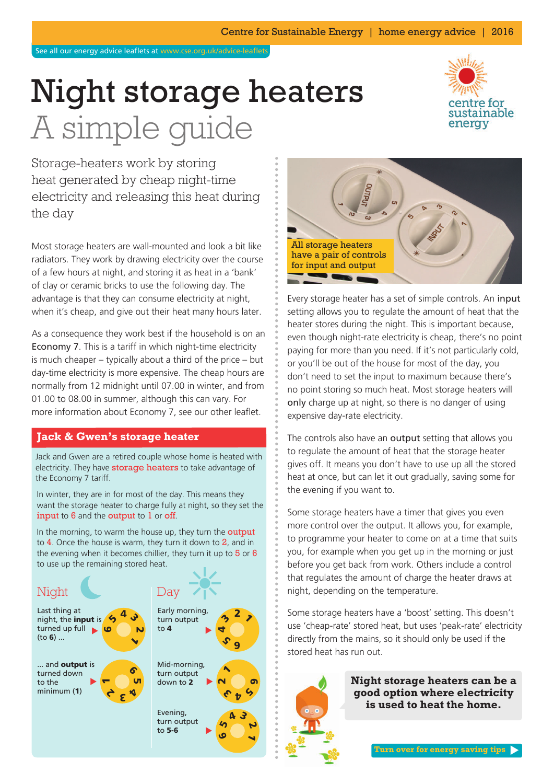See all our energy advice leaflets at www.cse.org.uk/advice-leaflets

# Night storage heaters A simple guide



Storage-heaters work by storing heat generated by cheap night-time electricity and releasing this heat during the day

Most storage heaters are wall-mounted and look a bit like radiators. They work by drawing electricity over the course of a few hours at night, and storing it as heat in a 'bank' of clay or ceramic bricks to use the following day. The advantage is that they can consume electricity at night, when it's cheap, and give out their heat many hours later.

As a consequence they work best if the household is on an Economy 7. This is a tariff in which night-time electricity is much cheaper – typically about a third of the price – but day-time electricity is more expensive. The cheap hours are normally from 12 midnight until 07.00 in winter, and from 01.00 to 08.00 in summer, although this can vary. For more information about Economy 7, see our other leaflet.

## **Jack & Gwen's storage heater**

Jack and Gwen are a retired couple whose home is heated with electricity. They have **storage heaters** to take advantage of the Economy 7 tariff.

In winter, they are in for most of the day. This means they want the storage heater to charge fully at night, so they set the input to 6 and the output to 1 or off.

In the morning, to warm the house up, they turn the **output** to  $4$ . Once the house is warm, they turn it down to  $2$ , and in the evening when it becomes chillier, they turn it up to  $5$  or  $6$ to use up the remaining stored heat.





Every storage heater has a set of simple controls. An input setting allows you to regulate the amount of heat that the heater stores during the night. This is important because, even though night-rate electricity is cheap, there's no point paying for more than you need. If it's not particularly cold, or you'll be out of the house for most of the day, you don't need to set the input to maximum because there's no point storing so much heat. Most storage heaters will only charge up at night, so there is no danger of using expensive day-rate electricity.

The controls also have an output setting that allows you to regulate the amount of heat that the storage heater gives off. It means you don't have to use up all the stored heat at once, but can let it out gradually, saving some for the evening if you want to.

Some storage heaters have a timer that gives you even more control over the output. It allows you, for example, to programme your heater to come on at a time that suits you, for example when you get up in the morning or just before you get back from work. Others include a control that regulates the amount of charge the heater draws at night, depending on the temperature.

Some storage heaters have a 'boost' setting. This doesn't use 'cheap-rate' stored heat, but uses 'peak-rate' electricity directly from the mains, so it should only be used if the stored heat has run out.



**Night storage heaters can be a good option where electricity is used to heat the home.**